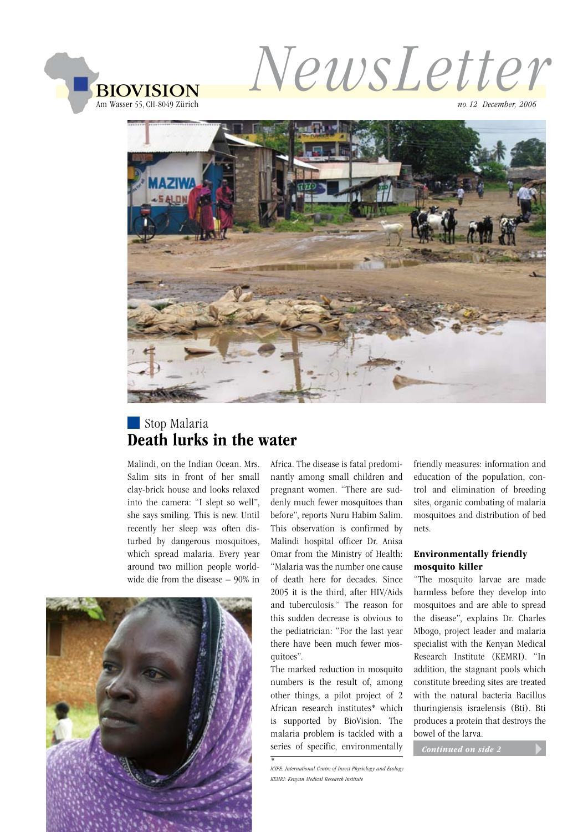

*NewsLetter*

*no.12 December, 2006*



# Stop Malaria Death lurks in the water

Malindi, on the Indian Ocean. Mrs. Salim sits in front of her small clay-brick house and looks relaxed into the camera: "I slept so well", she says smiling. This is new. Until recently her sleep was often disturbed by dangerous mosquitoes, which spread malaria. Every year around two million people worldwide die from the disease – 90% in



Africa. The disease is fatal predominantly among small children and pregnant women. "There are suddenly much fewer mosquitoes than before", reports Nuru Habim Salim. This observation is confirmed by Malindi hospital officer Dr. Anisa Omar from the Ministry of Health: "Malaria was the number one cause of death here for decades. Since 2005 it is the third, after HIV/Aids and tuberculosis." The reason for this sudden decrease is obvious to the pediatrician: "For the last year there have been much fewer mosquitoes".

The marked reduction in mosquito numbers is the result of, among other things, a pilot project of 2 African research institutes\* which is supported by BioVision. The malaria problem is tackled with a series of specific, environmentally

*\* ICIPE: International Centre of Insect Physiology and Ecology*

friendly measures: information and education of the population, control and elimination of breeding sites, organic combating of malaria mosquitoes and distribution of bed nets.

#### Environmentally friendly mosquito killer

"The mosquito larvae are made harmless before they develop into mosquitoes and are able to spread the disease", explains Dr. Charles Mbogo, project leader and malaria specialist with the Kenyan Medical Research Institute (KEMRI). "In addition, the stagnant pools which constitute breeding sites are treated with the natural bacteria Bacillus thuringiensis israelensis (Bti). Bti produces a protein that destroys the bowel of the larva.

 *Continued on side 2*

*KEMRI: Kenyan Medical Research Institute*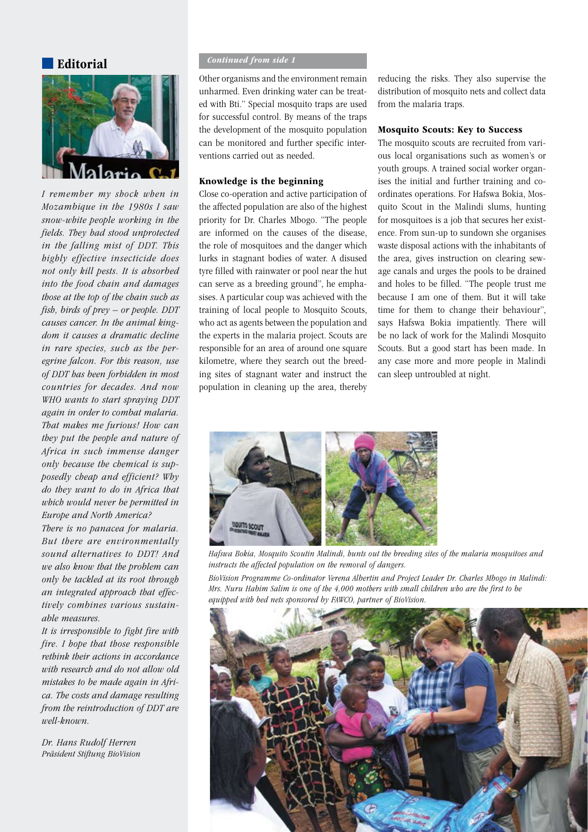Editorial



*I remember my shock when in Mozambique in the 1980s I saw snow-white people working in the fields. They had stood unprotected in the falling mist of DDT. This highly effective insecticide does not only kill pests. It is absorbed into the food chain and damages those at the top of the chain such as fish, birds of prey – or people. DDT causes cancer. In the animal kingdom it causes a dramatic decline in rare species, such as the peregrine falcon. For this reason, use of DDT has been forbidden in most countries for decades. And now WHO wants to start spraying DDT again in order to combat malaria. That makes me furious! How can they put the people and nature of Africa in such immense danger only because the chemical is supposedly cheap and efficient? Why do they want to do in Africa that which would never be permitted in Europe and North America?*

*There is no panacea for malaria. But there are environmentally sound alternatives to DDT! And we also know that the problem can only be tackled at its root through an integrated approach that effectively combines various sustainable measures.*

*It is irresponsible to fight fire with fire. I hope that those responsible rethink their actions in accordance with research and do not allow old mistakes to be made again in Africa. The costs and damage resulting from the reintroduction of DDT are well-known.*

*Dr. Hans Rudolf Herren Präsident Stiftung BioVision*

#### *Continued from side 1*

Other organisms and the environment remain unharmed. Even drinking water can be treated with Bti." Special mosquito traps are used for successful control. By means of the traps the development of the mosquito population can be monitored and further specific interventions carried out as needed.

#### Knowledge is the beginning

Close co-operation and active participation of the affected population are also of the highest priority for Dr. Charles Mbogo. "The people are informed on the causes of the disease, the role of mosquitoes and the danger which lurks in stagnant bodies of water. A disused tyre filled with rainwater or pool near the hut can serve as a breeding ground", he emphasises. A particular coup was achieved with the training of local people to Mosquito Scouts, who act as agents between the population and the experts in the malaria project. Scouts are responsible for an area of around one square kilometre, where they search out the breeding sites of stagnant water and instruct the population in cleaning up the area, thereby reducing the risks. They also supervise the distribution of mosquito nets and collect data from the malaria traps.

#### Mosquito Scouts: Key to Success

The mosquito scouts are recruited from various local organisations such as women's or youth groups. A trained social worker organises the initial and further training and coordinates operations. For Hafswa Bokia, Mosquito Scout in the Malindi slums, hunting for mosquitoes is a job that secures her existence. From sun-up to sundown she organises waste disposal actions with the inhabitants of the area, gives instruction on clearing sewage canals and urges the pools to be drained and holes to be filled. "The people trust me because I am one of them. But it will take time for them to change their behaviour", says Hafswa Bokia impatiently. There will be no lack of work for the Malindi Mosquito Scouts. But a good start has been made. In any case more and more people in Malindi can sleep untroubled at night.



*Hafswa Bokia, Mosquito Scoutin Malindi, hunts out the breeding sites of the malaria mosquitoes and instructs the affected population on the removal of dangers.*

*BioVision Programme Co-ordinator Verena Albertin and Project Leader Dr. Charles Mbogo in Malindi: Mrs. Nuru Habim Salim is one of the 4,000 mothers with small children who are the first to be equipped with bed nets sponsored by FAWCO, partner of BioVision.*

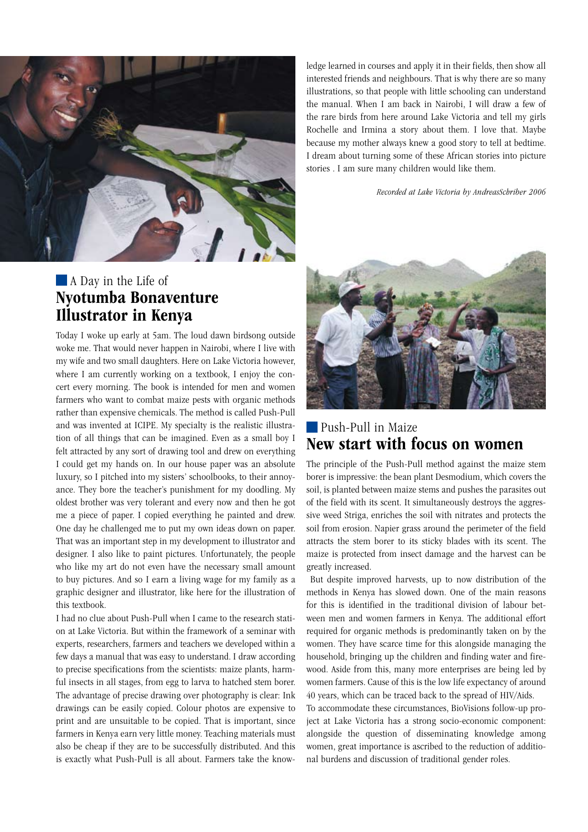

# **A** Day in the Life of Nyotumba Bonaventure Illustrator in Kenya

Today I woke up early at 5am. The loud dawn birdsong outside woke me. That would never happen in Nairobi, where I live with my wife and two small daughters. Here on Lake Victoria however, where I am currently working on a textbook, I enjoy the concert every morning. The book is intended for men and women farmers who want to combat maize pests with organic methods rather than expensive chemicals. The method is called Push-Pull and was invented at ICIPE. My specialty is the realistic illustration of all things that can be imagined. Even as a small boy I felt attracted by any sort of drawing tool and drew on everything I could get my hands on. In our house paper was an absolute luxury, so I pitched into my sisters' schoolbooks, to their annoyance. They bore the teacher's punishment for my doodling. My oldest brother was very tolerant and every now and then he got me a piece of paper. I copied everything he painted and drew. One day he challenged me to put my own ideas down on paper. That was an important step in my development to illustrator and designer. I also like to paint pictures. Unfortunately, the people who like my art do not even have the necessary small amount to buy pictures. And so I earn a living wage for my family as a graphic designer and illustrator, like here for the illustration of this textbook.

I had no clue about Push-Pull when I came to the research station at Lake Victoria. But within the framework of a seminar with experts, researchers, farmers and teachers we developed within a few days a manual that was easy to understand. I draw according to precise specifications from the scientists: maize plants, harmful insects in all stages, from egg to larva to hatched stem borer. The advantage of precise drawing over photography is clear: Ink drawings can be easily copied. Colour photos are expensive to print and are unsuitable to be copied. That is important, since farmers in Kenya earn very little money. Teaching materials must also be cheap if they are to be successfully distributed. And this is exactly what Push-Pull is all about. Farmers take the knowledge learned in courses and apply it in their fields, then show all interested friends and neighbours. That is why there are so many illustrations, so that people with little schooling can understand the manual. When I am back in Nairobi, I will draw a few of the rare birds from here around Lake Victoria and tell my girls Rochelle and Irmina a story about them. I love that. Maybe because my mother always knew a good story to tell at bedtime. I dream about turning some of these African stories into picture stories . I am sure many children would like them.

 *Recorded at Lake Victoria by AndreasSchriber 2006*



## **Push-Pull in Maize** New start with focus on women

The principle of the Push-Pull method against the maize stem borer is impressive: the bean plant Desmodium, which covers the soil, is planted between maize stems and pushes the parasites out of the field with its scent. It simultaneously destroys the aggressive weed Striga, enriches the soil with nitrates and protects the soil from erosion. Napier grass around the perimeter of the field attracts the stem borer to its sticky blades with its scent. The maize is protected from insect damage and the harvest can be greatly increased.

 But despite improved harvests, up to now distribution of the methods in Kenya has slowed down. One of the main reasons for this is identified in the traditional division of labour between men and women farmers in Kenya. The additional effort required for organic methods is predominantly taken on by the women. They have scarce time for this alongside managing the household, bringing up the children and finding water and firewood. Aside from this, many more enterprises are being led by women farmers. Cause of this is the low life expectancy of around 40 years, which can be traced back to the spread of HIV/Aids.

To accommodate these circumstances, BioVisions follow-up project at Lake Victoria has a strong socio-economic component: alongside the question of disseminating knowledge among women, great importance is ascribed to the reduction of additional burdens and discussion of traditional gender roles.